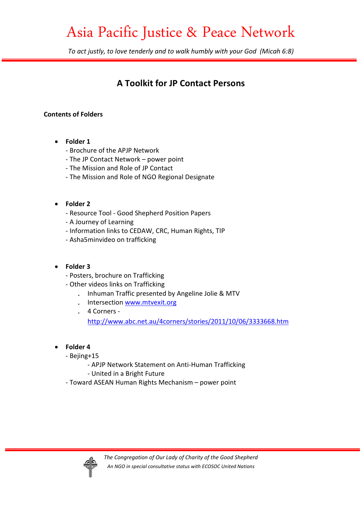# Asia Pacific Justice & Peace Network

*To act justly, to love tenderly and to walk humbly with your God (Micah 6:8)* 

## **A Toolkit for JP Contact Persons**

### **Contents of Folders**

- **Folder 1** 
	- Brochure of the APJP Network
	- The JP Contact Network power point
	- The Mission and Role of JP Contact
	- The Mission and Role of NGO Regional Designate

### • **Folder 2**

- Resource Tool Good Shepherd Position Papers
- A Journey of Learning
- Information links to CEDAW, CRC, Human Rights, TIP
- Asha5minvideo on trafficking

### • **Folder 3**

- Posters, brochure on Trafficking
- Other videos links on Trafficking
	- . Inhuman Traffic presented by Angeline Jolie & MTV
	- . Intersection www.mtvexit.org
	- . 4 Corners -

http://www.abc.net.au/4corners/stories/2011/10/06/3333668.htm

- **Folder 4** 
	- Bejing+15
		- APJP Network Statement on Anti-Human Trafficking
		- United in a Bright Future
	- Toward ASEAN Human Rights Mechanism power point